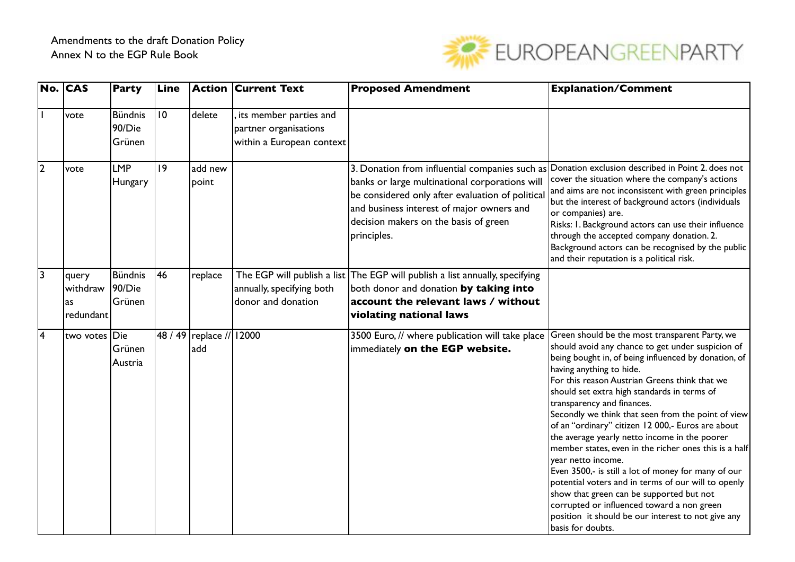

|                | No. CAS                              | <b>Party</b>                       | Line        |                                     | <b>Action Current Text</b>                                                   | <b>Proposed Amendment</b>                                                                                                                                                                                                                                 | <b>Explanation/Comment</b>                                                                                                                                                                                                                                                                                                                                                                                                                                                                                                                                                                                                                                                                                                                                                                                                                          |
|----------------|--------------------------------------|------------------------------------|-------------|-------------------------------------|------------------------------------------------------------------------------|-----------------------------------------------------------------------------------------------------------------------------------------------------------------------------------------------------------------------------------------------------------|-----------------------------------------------------------------------------------------------------------------------------------------------------------------------------------------------------------------------------------------------------------------------------------------------------------------------------------------------------------------------------------------------------------------------------------------------------------------------------------------------------------------------------------------------------------------------------------------------------------------------------------------------------------------------------------------------------------------------------------------------------------------------------------------------------------------------------------------------------|
|                | vote                                 | <b>Bündnis</b><br>90/Die<br>Grünen | 10          | delete                              | its member parties and<br>partner organisations<br>within a European context |                                                                                                                                                                                                                                                           |                                                                                                                                                                                                                                                                                                                                                                                                                                                                                                                                                                                                                                                                                                                                                                                                                                                     |
| $\overline{2}$ | vote                                 | <b>LMP</b><br>Hungary              | $ 9\rangle$ | add new<br>point                    |                                                                              | 3. Donation from influential companies such as<br>banks or large multinational corporations will<br>be considered only after evaluation of political<br>and business interest of major owners and<br>decision makers on the basis of green<br>principles. | Donation exclusion described in Point 2. does not<br>cover the situation where the company's actions<br>and aims are not inconsistent with green principles<br>but the interest of background actors (individuals<br>or companies) are.<br>Risks: I. Background actors can use their influence<br>through the accepted company donation. 2.<br>Background actors can be recognised by the public<br>and their reputation is a political risk.                                                                                                                                                                                                                                                                                                                                                                                                       |
| $\overline{3}$ | query<br>withdraw<br>as<br>redundant | Bündnis<br>90/Die<br>Grünen        | 146         | replace                             | annually, specifying both<br>donor and donation                              | The EGP will publish a list The EGP will publish a list annually, specifying<br>both donor and donation by taking into<br>account the relevant laws / without<br>violating national laws                                                                  |                                                                                                                                                                                                                                                                                                                                                                                                                                                                                                                                                                                                                                                                                                                                                                                                                                                     |
| 4              | two votes Die                        | Grünen<br>Austria                  |             | 48 / 49   replace //   12000<br>add |                                                                              | 3500 Euro, // where publication will take place<br>immediately on the EGP website.                                                                                                                                                                        | Green should be the most transparent Party, we<br>should avoid any chance to get under suspicion of<br>being bought in, of being influenced by donation, of<br>having anything to hide.<br>For this reason Austrian Greens think that we<br>should set extra high standards in terms of<br>transparency and finances.<br>Secondly we think that seen from the point of view<br>of an "ordinary" citizen 12 000,- Euros are about<br>the average yearly netto income in the poorer<br>member states, even in the richer ones this is a half<br>year netto income.<br>Even 3500,- is still a lot of money for many of our<br>potential voters and in terms of our will to openly<br>show that green can be supported but not<br>corrupted or influenced toward a non green<br>position it should be our interest to not give any<br>basis for doubts. |